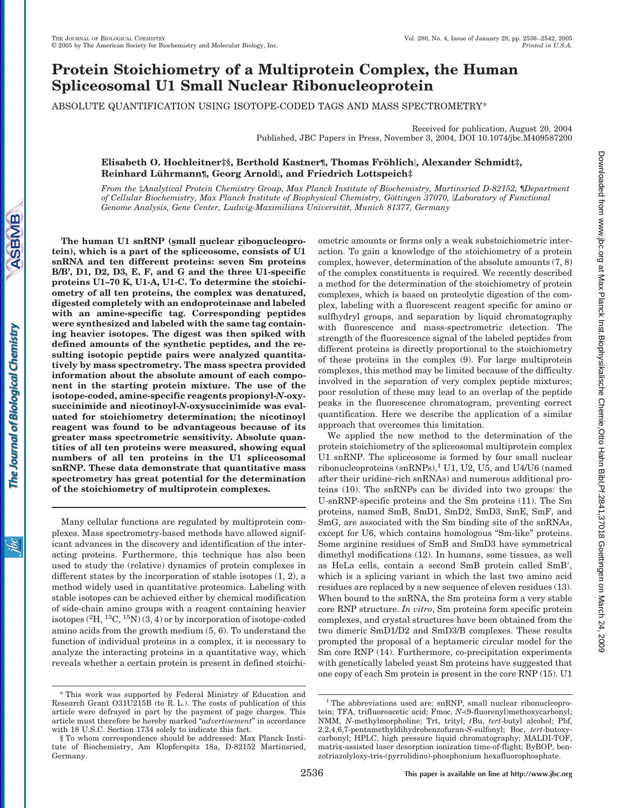# **Protein Stoichiometry of a Multiprotein Complex, the Human Spliceosomal U1 Small Nuclear Ribonucleoprotein**

ABSOLUTE QUANTIFICATION USING ISOTOPE-CODED TAGS AND MASS SPECTROMETRY\*

Received for publication, August 20, 2004 Published, JBC Papers in Press, November 3, 2004, DOI 10.1074/jbc.M409587200

# **Elisabeth O. Hochleitner‡§, Berthold Kastner¶, Thomas Fröhlich||, Alexander Schmidt‡, Reinhard Lu¨ hrmann¶, Georg Arnold, and Friedrich Lottspeich‡**

*From the* ‡*Analytical Protein Chemistry Group, Max Planck Institute of Biochemistry, Martinsried D-82152,* ¶*Department of Cellular Biochemistry, Max Planck Institute of Biophysical Chemistry, Go¨ttingen 37070, Laboratory of Functional Genome Analysis, Gene Center, Ludwig-Maximilians Universita¨ t, Munich 81377, Germany*

ibc

**ASBMB** 

**tein), which is a part of the spliceosome, consists of U1 snRNA and ten different proteins: seven Sm proteins B/B', D1, D2, D3, E, F, and G and the three U1-specific proteins U1–70 K, U1-A, U1-C. To determine the stoichiometry of all ten proteins, the complex was denatured, digested completely with an endoproteinase and labeled with an amine-specific tag. Corresponding peptides were synthesized and labeled with the same tag containing heavier isotopes. The digest was then spiked with defined amounts of the synthetic peptides, and the resulting isotopic peptide pairs were analyzed quantitatively by mass spectrometry. The mass spectra provided information about the absolute amount of each component in the starting protein mixture. The use of the isotope-coded, amine-specific reagents propionyl-***N***-oxysuccinimide and nicotinoyl-***N***-oxysuccinimide was evaluated for stoichiometry determination; the nicotinoyl reagent was found to be advantageous because of its greater mass spectrometric sensitivity. Absolute quantities of all ten proteins were measured, showing equal numbers of all ten proteins in the U1 spliceosomal snRNP. These data demonstrate that quantitative mass spectrometry has great potential for the determination of the stoichiometry of multiprotein complexes.**

**The human U1 snRNP (small nuclear ribonucleopro-**

Many cellular functions are regulated by multiprotein complexes. Mass spectrometry-based methods have allowed significant advances in the discovery and identification of the interacting proteins. Furthermore, this technique has also been used to study the (relative) dynamics of protein complexes in different states by the incorporation of stable isotopes (1, 2), a method widely used in quantitative proteomics. Labeling with stable isotopes can be achieved either by chemical modification of side-chain amino groups with a reagent containing heavier isotopes  $({}^{2}H, {}^{13}C, {}^{15}N)$   $(3, 4)$  or by incorporation of isotope-coded amino acids from the growth medium (5, 6). To understand the function of individual proteins in a complex, it is necessary to analyze the interacting proteins in a quantitative way, which reveals whether a certain protein is present in defined stoichiometric amounts or forms only a weak substoichiometric interaction. To gain a knowledge of the stoichiometry of a protein complex, however, determination of the absolute amounts (7, 8) of the complex constituents is required. We recently described a method for the determination of the stoichiometry of protein complexes, which is based on proteolytic digestion of the complex, labeling with a fluorescent reagent specific for amino or sulfhydryl groups, and separation by liquid chromatography with fluorescence and mass-spectrometric detection. The strength of the fluorescence signal of the labeled peptides from different proteins is directly proportional to the stoichiometry of these proteins in the complex (9). For large multiprotein complexes, this method may be limited because of the difficulty involved in the separation of very complex peptide mixtures; poor resolution of these may lead to an overlap of the peptide peaks in the fluorescence chromatogram, preventing correct quantification. Here we describe the application of a similar approach that overcomes this limitation.

We applied the new method to the determination of the protein stoichiometry of the spliceosomal multiprotein complex U1 snRNP. The spliceosome is formed by four small nuclear ribonucleoproteins  $(snRNPs),<sup>1</sup>$  U1, U2, U5, and U4/U6 (named after their uridine-rich snRNAs) and numerous additional proteins (10). The snRNPs can be divided into two groups: the U-snRNP-specific proteins and the Sm proteins (11). The Sm proteins, named SmB, SmD1, SmD2, SmD3, SmE, SmF, and SmG, are associated with the Sm binding site of the snRNAs, except for U6, which contains homologous "Sm-like" proteins. Some arginine residues of SmB and SmD3 have symmetrical dimethyl modifications (12). In humans, some tissues, as well as HeLa cells, contain a second SmB protein called SmB', which is a splicing variant in which the last two amino acid residues are replaced by a new sequence of eleven residues (13). When bound to the snRNA, the Sm proteins form a very stable core RNP structure. *In vitro*, Sm proteins form specific protein complexes, and crystal structures have been obtained from the two dimeric SmD1/D2 and SmD3/B complexes. These results prompted the proposal of a heptameric circular model for the Sm core RNP (14). Furthermore, co-precipitation experiments with genetically labeled yeast Sm proteins have suggested that one copy of each Sm protein is present in the core RNP (15). U1

<sup>\*</sup> This work was supported by Federal Ministry of Education and Research Grant O31U215B (to R. L.). The costs of publication of this article were defrayed in part by the payment of page charges. This article must therefore be hereby marked "*advertisement*" in accordance with 18 U.S.C. Section 1734 solely to indicate this fact.

<sup>§</sup> To whom correspondence should be addressed: Max Planck Institute of Biochemistry, Am Klopferspitz 18a, D-82152 Martinsried, Germany.

<sup>&</sup>lt;sup>1</sup> The abbreviations used are: snRNP, small nuclear ribonucleoprotein; TFA, trifluoroacetic acid; Fmoc, *N*-(9-fluorenyl)methoxycarbonyl; NMM, *N*-methylmorpholine; Trt, trityl; *t*Bu, *tert*-butyl alcohol; Pbf, 2,2,4,6,7-pentamethyldihydrobenzofuran-*S*-sulfonyl; Boc, *tert*-butoxycarbonyl; HPLC, high pressure liquid chromatography; MALDI-TOF, matrix-assisted laser desorption ionization time-of-flight; ByBOP, benzotriazolyloxy-tris-(pyrrolidino)-phosphonium hexafluorophosphate.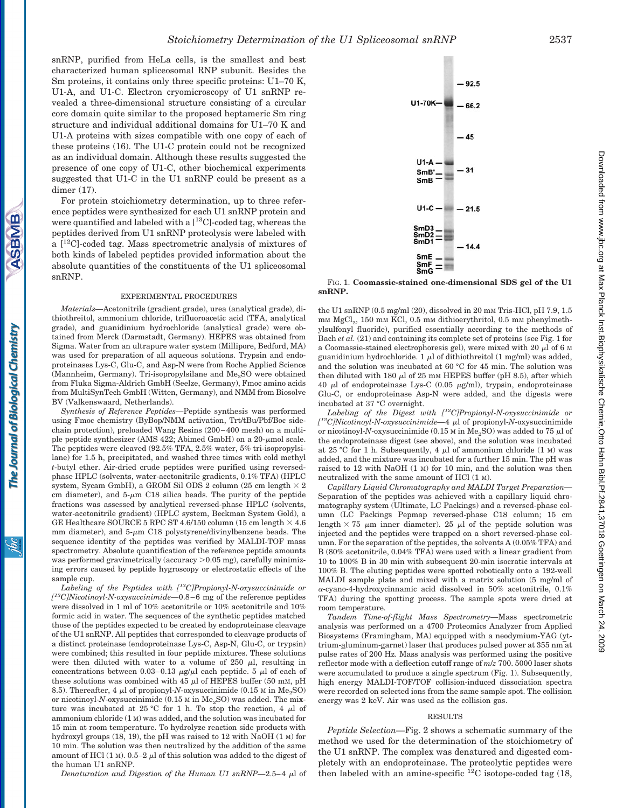snRNP, purified from HeLa cells, is the smallest and best characterized human spliceosomal RNP subunit. Besides the Sm proteins, it contains only three specific proteins: U1–70 K, U1-A, and U1-C. Electron cryomicroscopy of U1 snRNP revealed a three-dimensional structure consisting of a circular core domain quite similar to the proposed heptameric Sm ring structure and individual additional domains for U1–70 K and U1-A proteins with sizes compatible with one copy of each of these proteins (16). The U1-C protein could not be recognized as an individual domain. Although these results suggested the presence of one copy of U1-C, other biochemical experiments suggested that U1-C in the U1 snRNP could be present as a dimer (17).

For protein stoichiometry determination, up to three reference peptides were synthesized for each U1 snRNP protein and were quantified and labeled with a  $[$ <sup>13</sup>C]-coded tag, whereas the peptides derived from U1 snRNP proteolysis were labeled with a  $[$ <sup>12</sup>C]-coded tag. Mass spectrometric analysis of mixtures of both kinds of labeled peptides provided information about the absolute quantities of the constituents of the U1 spliceosomal snRNP.

**ASBMB** 

The Journal of Biological Chemistry

<u>is</u>

#### EXPERIMENTAL PROCEDURES

*Materials—*Acetonitrile (gradient grade), urea (analytical grade), dithiothreitol, ammonium chloride, trifluoroacetic acid (TFA, analytical grade), and guanidinium hydrochloride (analytical grade) were obtained from Merck (Darmstadt, Germany). HEPES was obtained from Sigma. Water from an ultrapure water system (Millipore, Bedford, MA) was used for preparation of all aqueous solutions. Trypsin and endoproteinases Lys-C, Glu-C, and Asp-N were from Roche Applied Science (Mannheim, Germany). Tri-isopropylsilane and  $Me<sub>2</sub>SO$  were obtained from Fluka Sigma-Aldrich GmbH (Seelze, Germany), Fmoc amino acids from MultiSynTech GmbH (Witten, Germany), and NMM from Biosolve BV (Valkenswaard, Netherlands).

*Synthesis of Reference Peptides—*Peptide synthesis was performed using Fmoc chemistry (ByBop/NMM activation, Trt/tBu/Pbf/Boc sidechain protection), preloaded Wang Resins (200 – 400 mesh) on a multiple peptide synthesizer (AMS 422; Abimed GmbH) on a  $20$ - $\mu$ mol scale. The peptides were cleaved (92.5% TFA, 2.5% water, 5% tri-isopropylsilane) for 1.5 h, precipitated, and washed three times with cold methyl *t*-butyl ether. Air-dried crude peptides were purified using reversedphase HPLC (solvents, water-acetonitrile gradients, 0.1% TFA) (HPLC system, Sycam GmbH), a GROM Sil ODS 2 column (25 cm length  $\times$  2 cm diameter), and  $5-\mu m$  C18 silica beads. The purity of the peptide fractions was assessed by analytical reversed-phase HPLC (solvents, water-acetonitrile gradient) (HPLC system, Beckman System Gold), a GE Healthcare SOURCE 5 RPC ST 4.6/150 column (15 cm length  $\times$  4.6 mm diameter), and  $5-\mu m$  C18 polystyrene/divinylbenzene beads. The sequence identity of the peptides was verified by MALDI-TOF mass spectrometry. Absolute quantification of the reference peptide amounts was performed gravimetrically (accuracy  $>0.05$  mg), carefully minimizing errors caused by peptide hygroscopy or electrostatic effects of the sample cup.

*Labeling of the Peptides with [13C]Propionyl-N-oxysuccinimide or [ 13C]Nicotinoyl-N-oxysuccinimide—*0.8 – 6 mg of the reference peptides were dissolved in 1 ml of 10% acetonitrile or 10% acetonitrile and 10% formic acid in water. The sequences of the synthetic peptides matched those of the peptides expected to be created by endoproteinase cleavage of the U1 snRNP. All peptides that corresponded to cleavage products of a distinct proteinase (endoproteinase Lys-C, Asp-N, Glu-C, or trypsin) were combined; this resulted in four peptide mixtures. These solutions were then diluted with water to a volume of 250  $\mu$ l, resulting in concentrations between 0.03–0.13  $\mu$ g/ $\mu$ l each peptide. 5  $\mu$ l of each of these solutions was combined with 45  $\mu$ l of HEPES buffer (50 mM, pH 8.5). Thereafter, 4  $\mu$ l of propionyl-*N*-oxysuccinimide (0.15 M in Me<sub>2</sub>SO) or nicotinoyl-*N*-oxysuccinimide (0.15 M in Me<sub>2</sub>SO) was added. The mixture was incubated at 25 °C for 1 h. To stop the reaction, 4  $\mu$ l of ammonium chloride (1 M) was added, and the solution was incubated for 15 min at room temperature. To hydrolyze reaction side products with hydroxyl groups (18, 19), the pH was raised to 12 with NaOH (1 M) for 10 min. The solution was then neutralized by the addition of the same amount of HCl (1 M). 0.5–2  $\mu$ l of this solution was added to the digest of the human U1 snRNP.

*Denaturation and Digestion of the Human U1 snRNP—2.5-4*  $\mu$ l of



FIG. 1. **Coomassie-stained one-dimensional SDS gel of the U1 snRNP.**

the U1 snRNP (0.5 mg/ml (20), dissolved in 20 mM Tris-HCl, pH 7.9, 1.5 mM MgCl<sub>2</sub>, 150 mM KCl, 0.5 mM dithioerythritol, 0.5 mM phenylmethylsulfonyl fluoride), purified essentially according to the methods of Bach *et al.* (21) and containing its complete set of proteins (see Fig. 1 for a Coomassie-stained electrophoresis gel), were mixed with  $20 \mu$ l of 6 M guanidinium hydrochloride. 1  $\mu$ l of dithiothreitol (1 mg/ml) was added, and the solution was incubated at 60 °C for 45 min. The solution was then diluted with 180  $\mu$ l of 25 mM HEPES buffer (pH 8.5), after which 40  $\mu$ l of endoproteinase Lys-C (0.05  $\mu$ g/ml), trypsin, endoproteinase Glu-C, or endoproteinase Asp-N were added, and the digests were incubated at 37 °C overnight.

*Labeling of the Digest with [12C]Propionyl-N-oxysuccinimide or [ 12C]Nicotinoyl-N-oxysuccinimide—*4 l of propionyl-*N*-oxysuccinimide or nicotinoyl-*N*-oxysuccinimide (0.15 M in  $\text{Me}_2\text{SO}$ ) was added to 75  $\mu$ l of the endoproteinase digest (see above), and the solution was incubated at 25 °C for 1 h. Subsequently, 4  $\mu$ l of ammonium chloride (1 M) was added, and the mixture was incubated for a further 15 min. The pH was raised to 12 with NaOH (1 M) for 10 min, and the solution was then neutralized with the same amount of HCl (1 M).

*Capillary Liquid Chromatography and MALDI Target Preparation—* Separation of the peptides was achieved with a capillary liquid chromatography system (Ultimate, LC Packings) and a reversed-phase column (LC Packings Pepmap reversed-phase C18 column; 15 cm length  $\times$  75  $\mu$ m inner diameter). 25  $\mu$ l of the peptide solution was injected and the peptides were trapped on a short reversed-phase column. For the separation of the peptides, the solvents A (0.05% TFA) and B (80% acetonitrile, 0.04% TFA) were used with a linear gradient from 10 to 100% B in 30 min with subsequent 20-min isocratic intervals at 100% B. The eluting peptides were spotted robotically onto a 192-well MALDI sample plate and mixed with a matrix solution (5 mg/ml of --cyano-4-hydroxycinnamic acid dissolved in 50% acetonitrile, 0.1% TFA) during the spotting process. The sample spots were dried at room temperature.

*Tandem Time-of-flight Mass Spectrometry—*Mass spectrometric analysis was performed on a 4700 Proteomics Analyzer from Applied Biosystems (Framingham, MA) equipped with a neodymium-YAG (yttrium-aluminum-garnet) laser that produces pulsed power at 355 nm at pulse rates of 200 Hz. Mass analysis was performed using the positive reflector mode with a deflection cutoff range of *m*/*z* 700. 5000 laser shots were accumulated to produce a single spectrum (Fig. 1). Subsequently, high energy MALDI-TOF/TOF collision-induced dissociation spectra were recorded on selected ions from the same sample spot. The collision energy was 2 keV. Air was used as the collision gas.

#### RESULTS

*Peptide Selection—*Fig. 2 shows a schematic summary of the method we used for the determination of the stoichiometry of the U1 snRNP. The complex was denatured and digested completely with an endoproteinase. The proteolytic peptides were then labeled with an amine-specific  ${}^{12}$ C isotope-coded tag (18,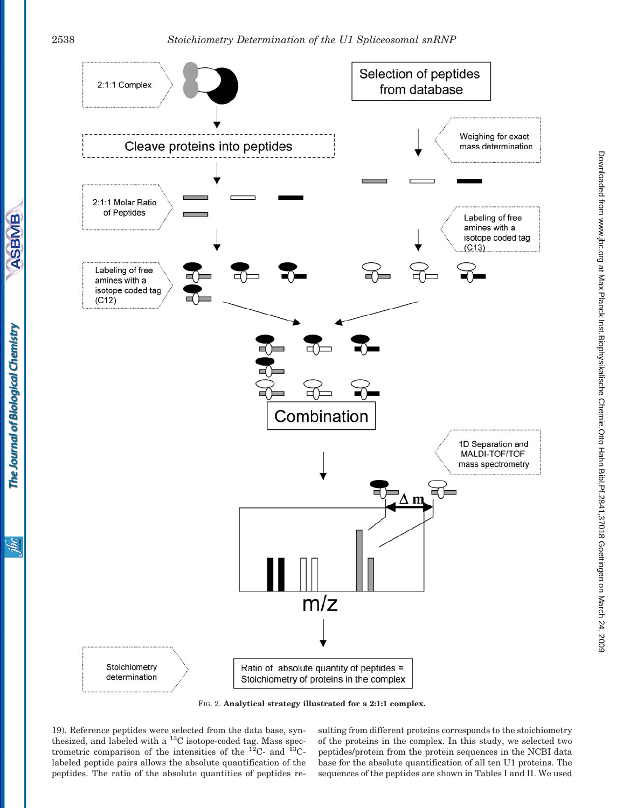

FIG. 2. **Analytical strategy illustrated for a 2:1:1 complex.**

19). Reference peptides were selected from the data base, synthesized, and labeled with a 13C isotope-coded tag. Mass spectrometric comparison of the intensities of the  $^{12}$ C- and  $^{13}$ Clabeled peptide pairs allows the absolute quantification of the peptides. The ratio of the absolute quantities of peptides resulting from different proteins corresponds to the stoichiometry of the proteins in the complex. In this study, we selected two peptides/protein from the protein sequences in the NCBI data base for the absolute quantification of all ten U1 proteins. The sequences of the peptides are shown in Tables I and II. We used

**ASBMB** 

The Journal of Biological Chemistry

<u>isic</u>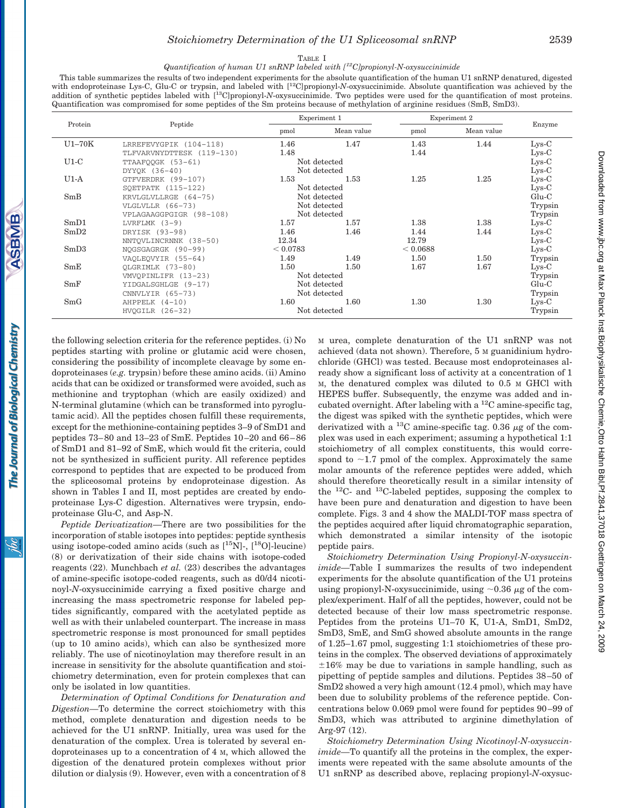#### *Quantification of human U1 snRNP labeled with [12C]propionyl-N-oxysuccinimide*

This table summarizes the results of two independent experiments for the absolute quantification of the human U1 snRNP denatured, digested with endoproteinase Lys-C, Glu-C or trypsin, and labeled with [12C]propionyl-*N*-oxysuccinimide. Absolute quantification was achieved by the addition of synthetic peptides labeled with [13C]propionyl-*N*-oxysuccinimide. Two peptides were used for the quantification of most proteins. Quantification was compromised for some peptides of the Sm proteins because of methylation of arginine residues (SmB, SmD3).

| Protein  | Peptide                   | Experiment 1                                 |            | Experiment 2 |            |         |
|----------|---------------------------|----------------------------------------------|------------|--------------|------------|---------|
|          |                           | pmol                                         | Mean value | pmol         | Mean value | Enzyme  |
| $U1-70K$ | LRREFEVYGPIK (104-118)    | 1.46                                         | 1.47       | 1.43         | 1.44       | $Lys-C$ |
|          | TLFVARVNYDTTESK (119-130) | 1.48                                         |            | 1.44         |            | $Lys-C$ |
| $U1-C$   | TTAAFOOGK (53-61)         | Not detected                                 |            |              |            | $Lys-C$ |
|          | DYYOK (36-40)             | Not detected                                 |            |              |            | $Lys-C$ |
| $U1-A$   | GTFVERDRK (99-107)        | 1.53                                         | 1.53       | 1.25         | 1.25       | $Lys-C$ |
|          | SOETPATK (115-122)        | Not detected                                 |            |              |            | $Lvs-C$ |
| SmB      | KRVLGLVLLRGE (64-75)      | Not detected<br>Not detected<br>Not detected |            |              |            | $Glu-C$ |
|          | VLGLVLLR (66-73)          |                                              |            |              |            | Trypsin |
|          | VPLAGAAGGPGIGR (98-108)   |                                              |            |              |            | Trypsin |
| SmD1     | $LVRFLMK$ (3-9)           | 1.57                                         | 1.57       | 1.38         | 1.38       | $Lys-C$ |
| SmD2     | DRYISK (93-98)            | 1.46                                         | 1.46       | 1.44         | 1.44       | $Lys-C$ |
|          | NNTOVLINCRNNK (38-50)     | 12.34                                        |            | 12.79        |            | $Lys-C$ |
| SmD3     | NOGSGAGRGK (90-99)        | < 0.0783                                     |            | < 0.0688     |            | $Lys-C$ |
|          | VAOLEOVYIR (55-64)        | 1.49                                         | 1.49       | 1.50         | 1.50       | Trypsin |
| SmE      | OLGRIMLK (73-80)          | 1.50                                         | 1.50       | 1.67         | 1.67       | $Lys-C$ |
|          | VMVOPINLIFR (13-23)       | Not detected                                 |            |              |            | Trypsin |
| SmF      | YIDGALSGHLGE (9-17)       | Not detected<br>Not detected                 |            |              |            | $Glu-C$ |
|          | CNNVLYIR (65-73)          |                                              |            |              |            | Trypsin |
| SmG      | $AHPPELK (4-10)$          | 1.60                                         | 1.60       | 1.30         | 1.30       | $Lvs-C$ |
|          | $HVOGILR (26-32)$         | Not detected                                 |            |              |            | Trypsin |

the following selection criteria for the reference peptides. (i) No peptides starting with proline or glutamic acid were chosen, considering the possibility of incomplete cleavage by some endoproteinases (*e.g.* trypsin) before these amino acids. (ii) Amino acids that can be oxidized or transformed were avoided, such as methionine and tryptophan (which are easily oxidized) and N-terminal glutamine (which can be transformed into pyroglutamic acid). All the peptides chosen fulfill these requirements, except for the methionine-containing peptides 3–9 of SmD1 and peptides 73– 80 and 13–23 of SmE. Peptides 10 –20 and 66 – 86 of SmD1 and 81–92 of SmE, which would fit the criteria, could not be synthesized in sufficient purity. All reference peptides correspond to peptides that are expected to be produced from the spliceosomal proteins by endoproteinase digestion. As shown in Tables I and II, most peptides are created by endoproteinase Lys-C digestion. Alternatives were trypsin, endoproteinase Glu-C, and Asp-N.

*Peptide Derivatization—*There are two possibilities for the incorporation of stable isotopes into peptides: peptide synthesis using isotope-coded amino acids (such as  $[15N]$ -,  $[18O]$ -leucine) (8) or derivatization of their side chains with isotope-coded reagents (22). Munchbach *et al.* (23) describes the advantages of amine-specific isotope-coded reagents, such as d0/d4 nicotinoyl-*N*-oxysuccinimide carrying a fixed positive charge and increasing the mass spectrometric response for labeled peptides significantly, compared with the acetylated peptide as well as with their unlabeled counterpart. The increase in mass spectrometric response is most pronounced for small peptides (up to 10 amino acids), which can also be synthesized more reliably. The use of nicotinoylation may therefore result in an increase in sensitivity for the absolute quantification and stoichiometry determination, even for protein complexes that can only be isolated in low quantities.

*Determination of Optimal Conditions for Denaturation and Digestion—*To determine the correct stoichiometry with this method, complete denaturation and digestion needs to be achieved for the U1 snRNP. Initially, urea was used for the denaturation of the complex. Urea is tolerated by several endoproteinases up to a concentration of 4 M, which allowed the digestion of the denatured protein complexes without prior dilution or dialysis (9). However, even with a concentration of 8

M urea, complete denaturation of the U1 snRNP was not achieved (data not shown). Therefore, 5 M guanidinium hydrochloride (GHCl) was tested. Because most endoproteinases already show a significant loss of activity at a concentration of 1 M, the denatured complex was diluted to 0.5 M GHCl with HEPES buffer. Subsequently, the enzyme was added and incubated overnight. After labeling with a  $^{12}$ C amine-specific tag, the digest was spiked with the synthetic peptides, which were derivatized with a <sup>13</sup>C amine-specific tag. 0.36  $\mu$ g of the complex was used in each experiment; assuming a hypothetical 1:1 stoichiometry of all complex constituents, this would correspond to  $\sim$ 1.7 pmol of the complex. Approximately the same molar amounts of the reference peptides were added, which should therefore theoretically result in a similar intensity of the  $^{12}$ C- and  $^{13}$ C-labeled peptides, supposing the complex to have been pure and denaturation and digestion to have been complete. Figs. 3 and 4 show the MALDI-TOF mass spectra of the peptides acquired after liquid chromatographic separation, which demonstrated a similar intensity of the isotopic peptide pairs.

*Stoichiometry Determination Using Propionyl-N-oxysuccinimide—*Table I summarizes the results of two independent experiments for the absolute quantification of the U1 proteins using propionyl-N-oxysuccinimide, using  $\sim 0.36 \mu$ g of the complex/experiment. Half of all the peptides, however, could not be detected because of their low mass spectrometric response. Peptides from the proteins U1–70 K, U1-A, SmD1, SmD2, SmD3, SmE, and SmG showed absolute amounts in the range of 1.25–1.67 pmol, suggesting 1:1 stoichiometries of these proteins in the complex. The observed deviations of approximately  $\pm 16\%$  may be due to variations in sample handling, such as pipetting of peptide samples and dilutions. Peptides 38 –50 of SmD2 showed a very high amount (12.4 pmol), which may have been due to solubility problems of the reference peptide. Concentrations below 0.069 pmol were found for peptides 90 –99 of SmD3, which was attributed to arginine dimethylation of Arg-97 (12).

*Stoichiometry Determination Using Nicotinoyl-N-oxysuccinimide—*To quantify all the proteins in the complex, the experiments were repeated with the same absolute amounts of the U1 snRNP as described above, replacing propionyl-*N*-oxysuc-

**SBMB**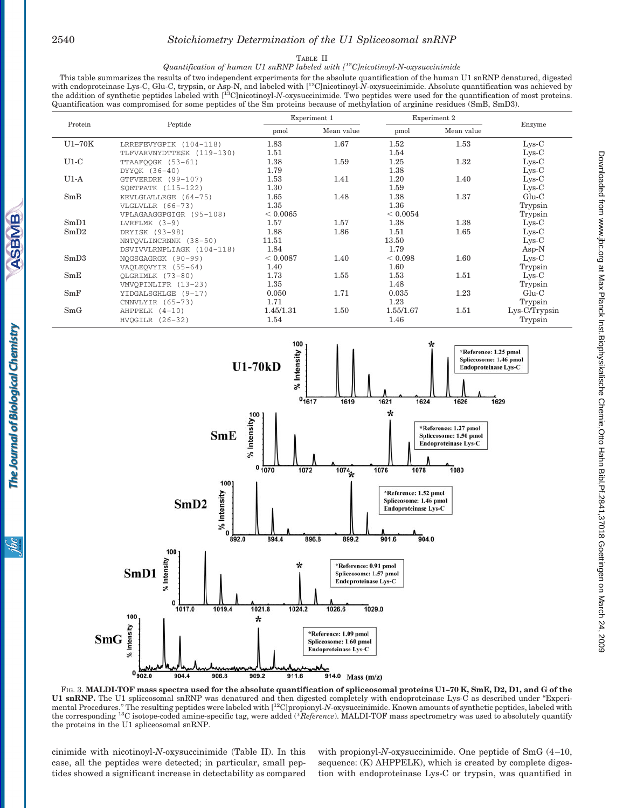### TABLE II

## *Quantification of human U1 snRNP labeled with [12C]nicotinoyl-N-oxysuccinimide*

This table summarizes the results of two independent experiments for the absolute quantification of the human U1 snRNP denatured, digested with endoproteinase Lys-C, Glu-C, trypsin, or Asp-N, and labeled with [12C]nicotinoyl-*N*-oxysuccinimide. Absolute quantification was achieved by the addition of synthetic peptides labeled with [13C]nicotinoyl-*N*-oxysuccinimide. Two peptides were used for the quantification of most proteins. Quantification was compromised for some peptides of the Sm proteins because of methylation of arginine residues (SmB, SmD3).

| Protein  | Peptide                   | Experiment 1 |            | Experiment 2 |            |                 |
|----------|---------------------------|--------------|------------|--------------|------------|-----------------|
|          |                           | pmol         | Mean value | pmol         | Mean value | Enzyme          |
| $U1-70K$ | LRREFEVYGPIK (104-118)    | 1.83         | 1.67       | 1.52         | 1.53       | $Lys-C$         |
|          | TLFVARVNYDTTESK (119-130) | 1.51         |            | 1.54         |            | $Lys-C$         |
| $U1-C$   | TTAAFOOGK (53-61)         | 1.38         | 1.59       | 1.25         | 1.32       | $Lys-C$         |
|          | DYYOK (36-40)             | 1.79         |            | 1.38         |            | $Lys-C$         |
| $U1-A$   | GTFVERDRK (99-107)        | 1.53         | 1.41       | 1.20         | 1.40       | $Lys-C$         |
|          | SOETPATK (115-122)        | 1.30         |            | 1.59         |            | $Lvs-C$         |
| SmB      | KRVLGLVLLRGE (64-75)      | 1.65         | 1.48       | 1.38         | 1.37       | $Glu-C$         |
|          | VLGLVLLR (66-73)          | 1.35         |            | 1.36         |            | Trypsin         |
|          | VPLAGAAGGPGIGR (95-108)   | ${}< 0.0065$ |            | ${}< 0.0054$ |            | Trypsin         |
| SmD1     | $LVRFLMK (3-9)$           | 1.57         | 1.57       | 1.38         | 1.38       | $Lys-C$         |
| SmD2     | DRYISK (93-98)            | 1.88         | 1.86       | 1.51         | 1.65       | $Lys-C$         |
|          | NNTOVLINCRNNK (38-50)     | 11.51        |            | 13.50        |            | $Lys-C$         |
|          | DSVIVVLRNPLIAGK (104-118) | 1.84         |            | 1.79         |            | $Asp-N$         |
| SmD3     | NOGSGAGRGK (90-99)        | < 0.0087     | 1.40       | < 0.098      | 1.60       | $Lvs-C$         |
|          | VAOLEOVYIR (55-64)        | 1.40         |            | 1.60         |            | Trypsin         |
| SmE      | OLGRIMLK (73-80)          | 1.73         | 1.55       | 1.53         | 1.51       | $Lys-C$         |
|          | VMVOPINLIFR (13-23)       | 1.35         |            | 1.48         |            | Trypsin         |
| SmF      | YIDGALSGHLGE (9-17)       | 0.050        | 1.71       | 0.035        | 1.23       | $Glu-C$         |
|          | CNNVLYIR (65-73)          | 1.71         |            | 1.23         |            | Trypsin         |
| SmG      | $AHPPELK (4-10)$          | 1.45/1.31    | 1.50       | 1.55/1.67    | 1.51       | $Lys-C/Trypsin$ |
|          | $HVOGILR (26-32)$         | 1.54         |            | 1.46         |            | Trypsin         |



FIG. 3. **MALDI-TOF mass spectra used for the absolute quantification of spliceosomal proteins U1–70 K, SmE, D2, D1, and G of the U1 snRNP.** The U1 spliceosomal snRNP was denatured and then digested completely with endoproteinase Lys-C as described under "Experimental Procedures." The resulting peptides were labeled with [<sup>12</sup>C]propionyl-*N*-oxysuccinimide. Known amounts of synthetic peptides, labeled with the corresponding 13C isotope-coded amine-specific tag, were added (\**Reference*). MALDI-TOF mass spectrometry was used to absolutely quantify the proteins in the U1 spliceosomal snRNP.

cinimide with nicotinoyl-*N*-oxysuccinimide (Table II). In this case, all the peptides were detected; in particular, small peptides showed a significant increase in detectability as compared

with propionyl-*N*-oxysuccinimide. One peptide of SmG (4-10, sequence: (K) AHPPELK), which is created by complete digestion with endoproteinase Lys-C or trypsin, was quantified in

 $\widetilde{\mathscr{C}}$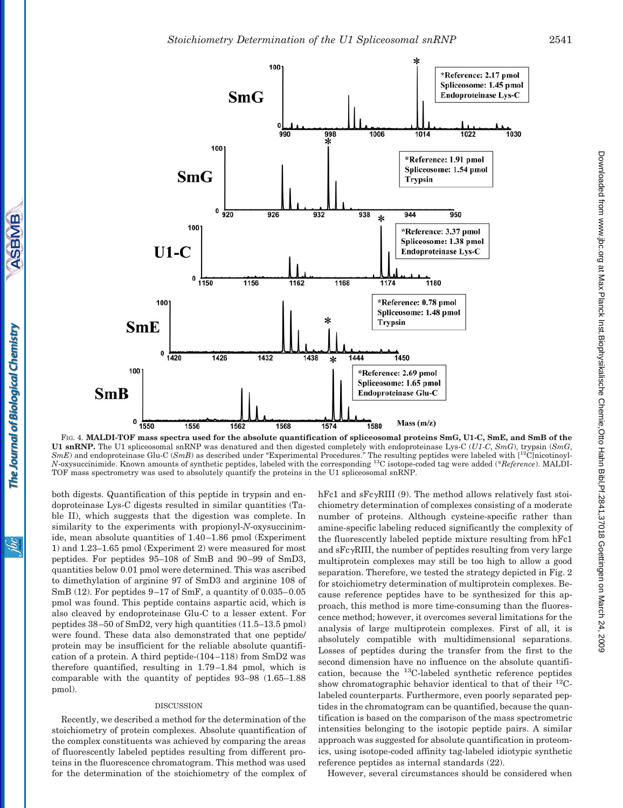

FIG. 4. **MALDI-TOF mass spectra used for the absolute quantification of spliceosomal proteins SmG, U1-C, SmE, and SmB of the U1 snRNP.** The U1 spliceosomal snRNP was denatured and then digested completely with endoproteinase Lys-C (U1-C, SmG), trypsin (SmG, SmL) and endoproteinase Glu-C (SmB) as described under "Experimental Procedures." The r *N*-oxysuccinimide. Known amounts of synthetic peptides, labeled with the corresponding 13C isotope-coded tag were added (\**Reference*). MALDI-TOF mass spectrometry was used to absolutely quantify the proteins in the U1 spliceosomal snRNP.

both digests. Quantification of this peptide in trypsin and endoproteinase Lys-C digests resulted in similar quantities (Table II), which suggests that the digestion was complete. In similarity to the experiments with propionyl-*N*-oxysuccinimide, mean absolute quantities of 1.40 –1.86 pmol (Experiment 1) and 1.23–1.65 pmol (Experiment 2) were measured for most peptides. For peptides 95–108 of SmB and 90 –99 of SmD3, quantities below 0.01 pmol were determined. This was ascribed to dimethylation of arginine 97 of SmD3 and arginine 108 of SmB (12). For peptides  $9-17$  of SmF, a quantity of  $0.035-0.05$ pmol was found. This peptide contains aspartic acid, which is also cleaved by endoproteinase Glu-C to a lesser extent. For peptides 38 –50 of SmD2, very high quantities (11.5–13.5 pmol) were found. These data also demonstrated that one peptide/ protein may be insufficient for the reliable absolute quantification of a protein. A third peptide-(104 –118) from SmD2 was therefore quantified, resulting in 1.79 –1.84 pmol, which is comparable with the quantity of peptides 93–98 (1.65–1.88 pmol).

ASBMB

The Journal of Biological Chemistry

ibc

#### DISCUSSION

Recently, we described a method for the determination of the stoichiometry of protein complexes. Absolute quantification of the complex constituents was achieved by comparing the areas of fluorescently labeled peptides resulting from different proteins in the fluorescence chromatogram. This method was used for the determination of the stoichiometry of the complex of hFc1 and  $sFc\gamma$ RIII (9). The method allows relatively fast stoichiometry determination of complexes consisting of a moderate number of proteins. Although cysteine-specific rather than amine-specific labeling reduced significantly the complexity of the fluorescently labeled peptide mixture resulting from hFc1 and  $sFc\gamma$ RIII, the number of peptides resulting from very large multiprotein complexes may still be too high to allow a good separation. Therefore, we tested the strategy depicted in Fig. 2 for stoichiometry determination of multiprotein complexes. Because reference peptides have to be synthesized for this approach, this method is more time-consuming than the fluorescence method; however, it overcomes several limitations for the analysis of large multiprotein complexes. First of all, it is absolutely compatible with multidimensional separations. Losses of peptides during the transfer from the first to the second dimension have no influence on the absolute quantification, because the 13C-labeled synthetic reference peptides show chromatographic behavior identical to that of their  $^{12}$ Clabeled counterparts. Furthermore, even poorly separated peptides in the chromatogram can be quantified, because the quantification is based on the comparison of the mass spectrometric intensities belonging to the isotopic peptide pairs. A similar approach was suggested for absolute quantification in proteomics, using isotope-coded affinity tag-labeled idiotypic synthetic reference peptides as internal standards (22).

However, several circumstances should be considered when